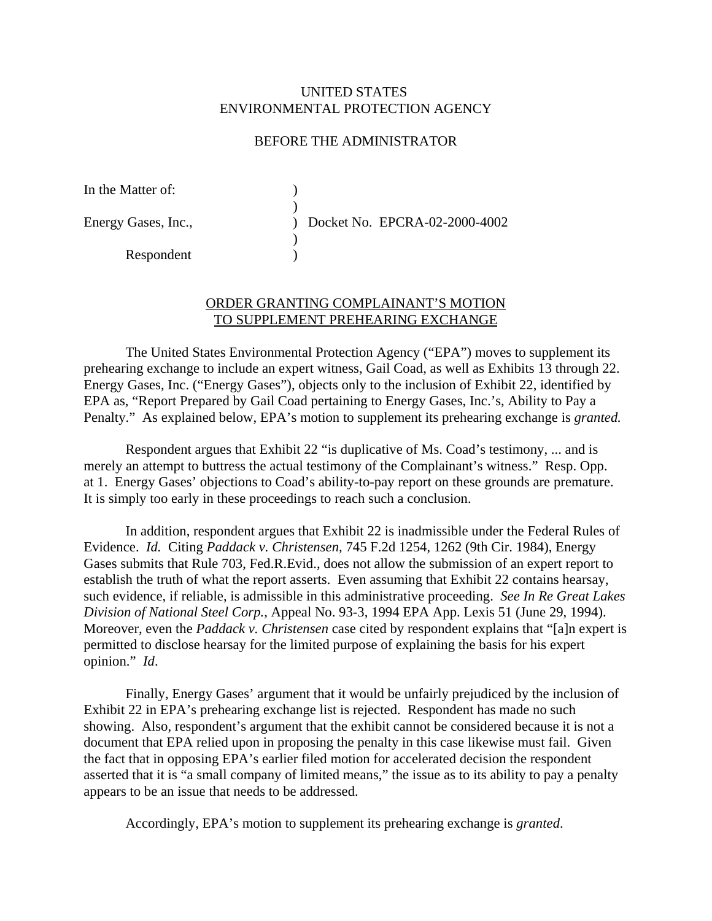## UNITED STATES ENVIRONMENTAL PROTECTION AGENCY

## BEFORE THE ADMINISTRATOR

| In the Matter of:   |                               |
|---------------------|-------------------------------|
|                     |                               |
| Energy Gases, Inc., | Docket No. EPCRA-02-2000-4002 |
|                     |                               |
| Respondent          |                               |

## ORDER GRANTING COMPLAINANT'S MOTION TO SUPPLEMENT PREHEARING EXCHANGE

The United States Environmental Protection Agency ("EPA") moves to supplement its prehearing exchange to include an expert witness, Gail Coad, as well as Exhibits 13 through 22. Energy Gases, Inc. ("Energy Gases"), objects only to the inclusion of Exhibit 22, identified by EPA as, "Report Prepared by Gail Coad pertaining to Energy Gases, Inc.'s, Ability to Pay a Penalty." As explained below, EPA's motion to supplement its prehearing exchange is *granted.* 

Respondent argues that Exhibit 22 "is duplicative of Ms. Coad's testimony, ... and is merely an attempt to buttress the actual testimony of the Complainant's witness." Resp. Opp. at 1. Energy Gases' objections to Coad's ability-to-pay report on these grounds are premature. It is simply too early in these proceedings to reach such a conclusion.

In addition, respondent argues that Exhibit 22 is inadmissible under the Federal Rules of Evidence. *Id.* Citing *Paddack v. Christensen,* 745 F.2d 1254, 1262 (9th Cir. 1984), Energy Gases submits that Rule 703, Fed.R.Evid., does not allow the submission of an expert report to establish the truth of what the report asserts. Even assuming that Exhibit 22 contains hearsay, such evidence, if reliable, is admissible in this administrative proceeding. *See In Re Great Lakes Division of National Steel Corp.*, Appeal No. 93-3, 1994 EPA App. Lexis 51 (June 29, 1994). Moreover, even the *Paddack v. Christensen* case cited by respondent explains that "[a]n expert is permitted to disclose hearsay for the limited purpose of explaining the basis for his expert opinion." *Id*.

Finally, Energy Gases' argument that it would be unfairly prejudiced by the inclusion of Exhibit 22 in EPA's prehearing exchange list is rejected. Respondent has made no such showing. Also, respondent's argument that the exhibit cannot be considered because it is not a document that EPA relied upon in proposing the penalty in this case likewise must fail. Given the fact that in opposing EPA's earlier filed motion for accelerated decision the respondent asserted that it is "a small company of limited means," the issue as to its ability to pay a penalty appears to be an issue that needs to be addressed.

Accordingly, EPA's motion to supplement its prehearing exchange is *granted*.